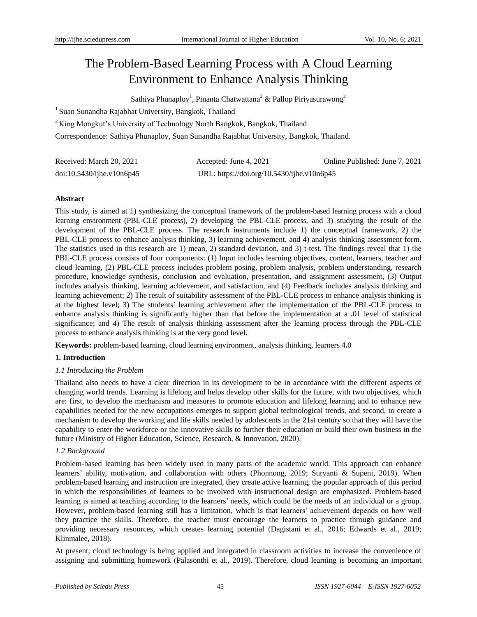# The Problem**-**Based Learning Process with A Cloud Learning Environment to Enhance Analysis Thinking

Sathiya Phunaploy<sup>1</sup>, Pinanta Chatwattana<sup>2</sup> & Pallop Piriyasurawong<sup>2</sup>

<sup>1</sup> Suan Sunandha Rajabhat University, Bangkok, Thailand

<sup>2</sup>King Mongkut's University of Technology North Bangkok, Bangkok, Thailand

Correspondence: Sathiya Phunaploy, Suan Sunandha Rajabhat University, Bangkok, Thailand.

| Received: March 20, 2021     | Accepted: June 4, 2021                     | Online Published: June 7, 2021 |
|------------------------------|--------------------------------------------|--------------------------------|
| $doi:10.5430/ij$ he.v10n6p45 | URL: https://doi.org/10.5430/ijhe.v10n6p45 |                                |

## **Abstract**

This study, is aimed at 1) synthesizing the conceptual framework of the problem-based learning process with a cloud learning environment (PBL-CLE process), 2) developing the PBL-CLE process, and 3) studying the result of the development of the PBL-CLE process. The research instruments include 1) the conceptual framework, 2) the PBL-CLE process to enhance analysis thinking, 3) learning achievement, and 4) analysis thinking assessment form. The statistics used in this research are 1) mean, 2) standard deviation, and 3) t-test. The findings reveal that 1) the PBL**-**CLE process consists of four components: (1) Input includes learning objectives, content, learners, teacher and cloud learning, (2) PBL**-**CLE process includes problem posing, problem analysis, problem understanding, research procedure, knowledge synthesis, conclusion and evaluation, presentation, and assignment assessment, (3) Output includes analysis thinking, learning achievement, and satisfaction, and (4) Feedback includes analysis thinking and learning achievement; 2) The result of suitability assessment of the PBL**-**CLE process to enhance analysis thinking is at the highest level; 3) The students**'** learning achievement after the implementation of the PBL**-**CLE process to enhance analysis thinking is significantly higher than that before the implementation at a **.**01 level of statistical significance; and 4) The result of analysis thinking assessment after the learning process through the PBL**-**CLE process to enhance analysis thinking is at the very good level**.**

**Keywords:** problem**-**based learning, cloud learning environment, analysis thinking, learners 4**.**0

## **1. Introduction**

## *1.1 Introducing the Problem*

Thailand also needs to have a clear direction in its development to be in accordance with the different aspects of changing world trends. Learning is lifelong and helps develop other skills for the future, with two objectives, which are: first, to develop the mechanism and measures to promote education and lifelong learning and to enhance new capabilities needed for the new occupations emerges to support global technological trends, and second, to create a mechanism to develop the working and life skills needed by adolescents in the 21st century so that they will have the capability to enter the workforce or the innovative skills to further their education or build their own business in the future (Ministry of Higher Education, Science, Research, & Innovation, 2020).

## *1.2 Background*

Problem-based learning has been widely used in many parts of the academic world. This approach can enhance learners' ability, motivation, and collaboration with others (Phonnong, 2019; Suryanti & Supeni, 2019). When problem-based learning and instruction are integrated, they create active learning, the popular approach of this period in which the responsibilities of learners to be involved with instructional design are emphasized. Problem-based learning is aimed at teaching according to the learners' needs, which could be the needs of an individual or a group. However, problem-based learning still has a limitation, which is that learners' achievement depends on how well they practice the skills. Therefore, the teacher must encourage the learners to practice through guidance and providing necessary resources, which creates learning potential (Dagistani et al., 2016; Edwards et al., 2019; Klinmalee, 2018).

At present, cloud technology is being applied and integrated in classroom activities to increase the convenience of assigning and submitting homework (Palasonthi et al., 2019). Therefore, cloud learning is becoming an important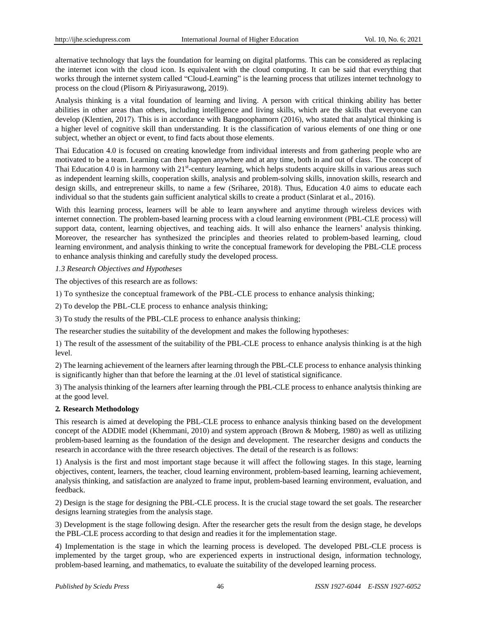alternative technology that lays the foundation for learning on digital platforms. This can be considered as replacing the internet icon with the cloud icon. Is equivalent with the cloud computing. It can be said that everything that works through the internet system called "Cloud-Learning" is the learning process that utilizes internet technology to process on the cloud (Plisorn & Piriyasurawong, 2019).

Analysis thinking is a vital foundation of learning and living. A person with critical thinking ability has better abilities in other areas than others, including intelligence and living skills, which are the skills that everyone can develop (Klentien, 2017). This is in accordance with Bangpoophamorn (2016), who stated that analytical thinking is a higher level of cognitive skill than understanding. It is the classification of various elements of one thing or one subject, whether an object or event, to find facts about those elements.

Thai Education 4.0 is focused on creating knowledge from individual interests and from gathering people who are motivated to be a team. Learning can then happen anywhere and at any time, both in and out of class. The concept of Thai Education 4.0 is in harmony with  $21^{st}$ -century learning, which helps students acquire skills in various areas such as independent learning skills, cooperation skills, analysis and problem-solving skills, innovation skills, research and design skills, and entrepreneur skills, to name a few (Sriharee, 2018). Thus, Education 4.0 aims to educate each individual so that the students gain sufficient analytical skills to create a product (Sinlarat et al., 2016).

With this learning process, learners will be able to learn anywhere and anytime through wireless devices with internet connection. The problem-based learning process with a cloud learning environment (PBL-CLE process) will support data, content, learning objectives, and teaching aids. It will also enhance the learners' analysis thinking. Moreover, the researcher has synthesized the principles and theories related to problem-based learning, cloud learning environment, and analysis thinking to write the conceptual framework for developing the PBL-CLE process to enhance analysis thinking and carefully study the developed process.

#### *1.3 Research Objectives and Hypotheses*

The objectives of this research are as follows:

1) To synthesize the conceptual framework of the PBL-CLE process to enhance analysis thinking;

2) To develop the PBL-CLE process to enhance analysis thinking;

3) To study the results of the PBL-CLE process to enhance analysis thinking;

The researcher studies the suitability of the development and makes the following hypotheses:

1) The result of the assessment of the suitability of the PBL-CLE process to enhance analysis thinking is at the high level.

2) The learning achievement of the learners after learning through the PBL-CLE process to enhance analysis thinking is significantly higher than that before the learning at the .01 level of statistical significance.

3) The analysis thinking of the learners after learning through the PBL-CLE process to enhance analytsis thinking are at the good level.

#### **2***.* **Research Methodology**

This research is aimed at developing the PBL-CLE process to enhance analysis thinking based on the development concept of the ADDIE model (Khemmani, 2010) and system approach (Brown & Moberg, 1980) as well as utilizing problem-based learning as the foundation of the design and development. The researcher designs and conducts the research in accordance with the three research objectives. The detail of the research is as follows:

1) Analysis is the first and most important stage because it will affect the following stages. In this stage, learning objectives, content, learners, the teacher, cloud learning environment, problem-based learning, learning achievement, analysis thinking, and satisfaction are analyzed to frame input, problem-based learning environment, evaluation, and feedback.

2) Design is the stage for designing the PBL-CLE process. It is the crucial stage toward the set goals. The researcher designs learning strategies from the analysis stage.

3) Development is the stage following design. After the researcher gets the result from the design stage, he develops the PBL-CLE process according to that design and readies it for the implementation stage.

4) Implementation is the stage in which the learning process is developed. The developed PBL-CLE process is implemented by the target group, who are experienced experts in instructional design, information technology, problem-based learning, and mathematics, to evaluate the suitability of the developed learning process.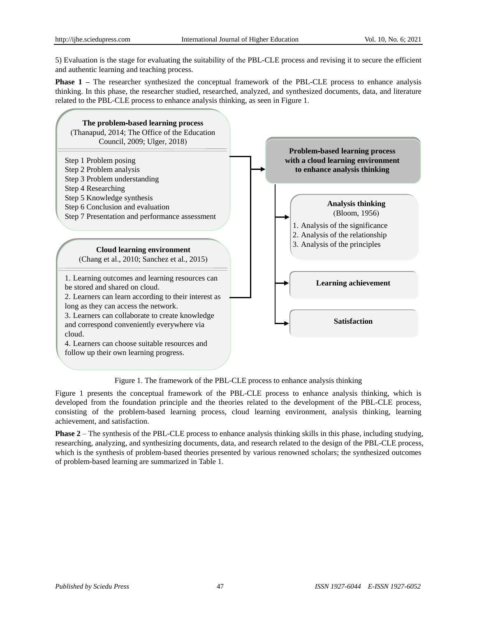5) Evaluation is the stage for evaluating the suitability of the PBL-CLE process and revising it to secure the efficient and authentic learning and teaching process.

**Phase 1** – The researcher synthesized the conceptual framework of the PBL-CLE process to enhance analysis thinking. In this phase, the researcher studied, researched, analyzed, and synthesized documents, data, and literature related to the PBL-CLE process to enhance analysis thinking, as seen in Figure 1.



Figure 1. The framework of the PBL-CLE process to enhance analysis thinking

Figure 1 presents the conceptual framework of the PBL-CLE process to enhance analysis thinking, which is developed from the foundation principle and the theories related to the development of the PBL-CLE process, consisting of the problem-based learning process, cloud learning environment, analysis thinking, learning achievement, and satisfaction.

**Phase** 2 – The synthesis of the PBL-CLE process to enhance analysis thinking skills in this phase, including studying, researching, analyzing, and synthesizing documents, data, and research related to the design of the PBL-CLE process, which is the synthesis of problem-based theories presented by various renowned scholars; the synthesized outcomes of problem-based learning are summarized in Table 1.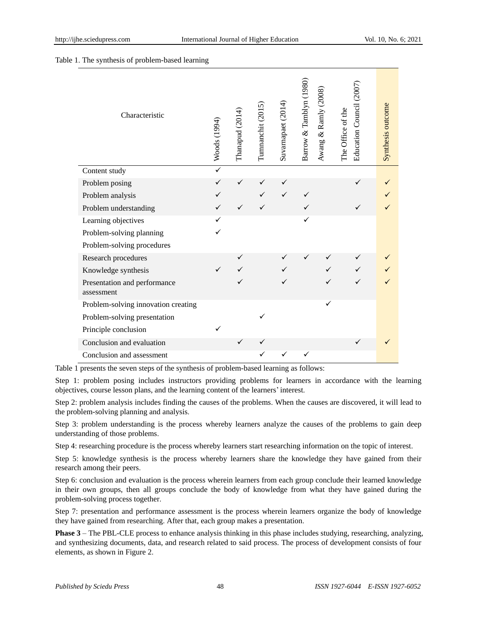#### Table 1. The synthesis of problem-based learning

| Characteristic                             | Woods (1994) | Thanapud (2014) | Tumnanchit (2015) | Suvarnapaet (2014) | Barrow & Tamblyn (1980) | Awang & Ramly (2008) | Education Council (2007<br>The Office of the | Synthesis outcome |
|--------------------------------------------|--------------|-----------------|-------------------|--------------------|-------------------------|----------------------|----------------------------------------------|-------------------|
| Content study                              | $\checkmark$ |                 |                   |                    |                         |                      |                                              |                   |
| Problem posing                             |              | ✓               |                   | ✓                  |                         |                      |                                              |                   |
| Problem analysis                           |              |                 |                   |                    |                         |                      |                                              |                   |
| Problem understanding                      |              |                 |                   |                    |                         |                      |                                              |                   |
| Learning objectives                        | ✓            |                 |                   |                    | ✓                       |                      |                                              |                   |
| Problem-solving planning                   |              |                 |                   |                    |                         |                      |                                              |                   |
| Problem-solving procedures                 |              |                 |                   |                    |                         |                      |                                              |                   |
| Research procedures                        |              |                 |                   |                    |                         |                      |                                              |                   |
| Knowledge synthesis                        |              |                 |                   |                    |                         |                      |                                              |                   |
| Presentation and performance<br>assessment |              |                 |                   |                    |                         |                      |                                              |                   |
| Problem-solving innovation creating        |              |                 |                   |                    |                         | ✓                    |                                              |                   |
| Problem-solving presentation               |              |                 |                   |                    |                         |                      |                                              |                   |
| Principle conclusion                       |              |                 |                   |                    |                         |                      |                                              |                   |
| Conclusion and evaluation                  |              | ✓               |                   |                    |                         |                      | ✓                                            |                   |
| Conclusion and assessment                  |              |                 |                   |                    |                         |                      |                                              |                   |

Table 1 presents the seven steps of the synthesis of problem-based learning as follows:

Step 1: problem posing includes instructors providing problems for learners in accordance with the learning objectives, course lesson plans, and the learning content of the learners' interest.

Step 2: problem analysis includes finding the causes of the problems. When the causes are discovered, it will lead to the problem-solving planning and analysis.

Step 3: problem understanding is the process whereby learners analyze the causes of the problems to gain deep understanding of those problems.

Step 4: researching procedure is the process whereby learners start researching information on the topic of interest.

Step 5: knowledge synthesis is the process whereby learners share the knowledge they have gained from their research among their peers.

Step 6: conclusion and evaluation is the process wherein learners from each group conclude their learned knowledge in their own groups, then all groups conclude the body of knowledge from what they have gained during the problem-solving process together.

Step 7: presentation and performance assessment is the process wherein learners organize the body of knowledge they have gained from researching. After that, each group makes a presentation.

**Phase 3** – The PBL-CLE process to enhance analysis thinking in this phase includes studying, researching, analyzing, and synthesizing documents, data, and research related to said process. The process of development consists of four elements, as shown in Figure 2.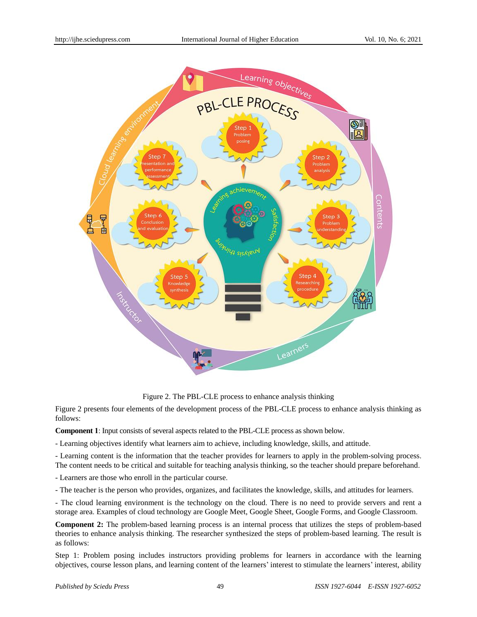

Figure 2. The PBL-CLE process to enhance analysis thinking

Figure 2 presents four elements of the development process of the PBL-CLE process to enhance analysis thinking as follows:

**Component 1**: Input consists of several aspects related to the PBL-CLE process as shown below.

- Learning objectives identify what learners aim to achieve, including knowledge, skills, and attitude.

- Learning content is the information that the teacher provides for learners to apply in the problem-solving process. The content needs to be critical and suitable for teaching analysis thinking, so the teacher should prepare beforehand.

- Learners are those who enroll in the particular course.

- The teacher is the person who provides, organizes, and facilitates the knowledge, skills, and attitudes for learners.

- The cloud learning environment is the technology on the cloud. There is no need to provide servers and rent a storage area. Examples of cloud technology are Google Meet, Google Sheet, Google Forms, and Google Classroom.

**Component 2:** The problem-based learning process is an internal process that utilizes the steps of problem-based theories to enhance analysis thinking. The researcher synthesized the steps of problem-based learning. The result is as follows:

Step 1: Problem posing includes instructors providing problems for learners in accordance with the learning objectives, course lesson plans, and learning content of the learners' interest to stimulate the learners' interest, ability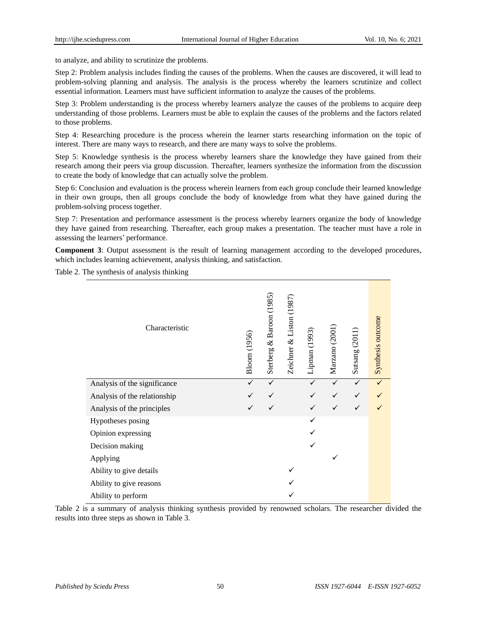to analyze, and ability to scrutinize the problems.

Step 2: Problem analysis includes finding the causes of the problems. When the causes are discovered, it will lead to problem-solving planning and analysis. The analysis is the process whereby the learners scrutinize and collect essential information. Learners must have sufficient information to analyze the causes of the problems.

Step 3: Problem understanding is the process whereby learners analyze the causes of the problems to acquire deep understanding of those problems. Learners must be able to explain the causes of the problems and the factors related to those problems.

Step 4: Researching procedure is the process wherein the learner starts researching information on the topic of interest. There are many ways to research, and there are many ways to solve the problems.

Step 5: Knowledge synthesis is the process whereby learners share the knowledge they have gained from their research among their peers via group discussion. Thereafter, learners synthesize the information from the discussion to create the body of knowledge that can actually solve the problem.

Step 6: Conclusion and evaluation is the process wherein learners from each group conclude their learned knowledge in their own groups, then all groups conclude the body of knowledge from what they have gained during the problem-solving process together.

Step 7: Presentation and performance assessment is the process whereby learners organize the body of knowledge they have gained from researching. Thereafter, each group makes a presentation. The teacher must have a role in assessing the learners' performance.

**Component 3**: Output assessment is the result of learning management according to the developed procedures, which includes learning achievement, analysis thinking, and satisfaction.

Table 2. The synthesis of analysis thinking

| Characteristic               | Bloom (1956) | Baroon (1985)<br>$\infty$<br>Sterberg | Zeichner & Liston (1987) | Lipman (1993) | Marzano (2001) | Sutsang (2011) | Synthesis outcome |
|------------------------------|--------------|---------------------------------------|--------------------------|---------------|----------------|----------------|-------------------|
| Analysis of the significance | ✓            | ✓                                     |                          | ✓             |                | ✓              |                   |
| Analysis of the relationship |              |                                       |                          |               |                |                |                   |
| Analysis of the principles   |              |                                       |                          |               |                |                |                   |
| Hypotheses posing            |              |                                       |                          |               |                |                |                   |
| Opinion expressing           |              |                                       |                          |               |                |                |                   |
| Decision making              |              |                                       |                          |               |                |                |                   |
| Applying                     |              |                                       |                          |               |                |                |                   |
| Ability to give details      |              |                                       |                          |               |                |                |                   |
| Ability to give reasons      |              |                                       |                          |               |                |                |                   |
| Ability to perform           |              |                                       |                          |               |                |                |                   |

Table 2 is a summary of analysis thinking synthesis provided by renowned scholars. The researcher divided the results into three steps as shown in Table 3.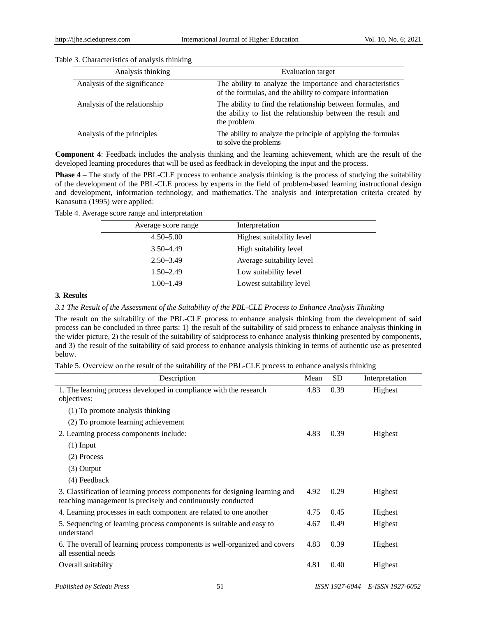| Analysis thinking            | <b>Evaluation target</b>                                                                                                                 |
|------------------------------|------------------------------------------------------------------------------------------------------------------------------------------|
| Analysis of the significance | The ability to analyze the importance and characteristics<br>of the formulas, and the ability to compare information                     |
| Analysis of the relationship | The ability to find the relationship between formulas, and<br>the ability to list the relationship between the result and<br>the problem |
| Analysis of the principles   | The ability to analyze the principle of applying the formulas<br>to solve the problems                                                   |

Table 3. Characteristics of analysis thinking

**Component 4**: Feedback includes the analysis thinking and the learning achievement, which are the result of the developed learning procedures that will be used as feedback in developing the input and the process.

**Phase 4** – The study of the PBL-CLE process to enhance analysis thinking is the process of studying the suitability of the development of the PBL-CLE process by experts in the field of problem-based learning instructional design and development, information technology, and mathematics. The analysis and interpretation criteria created by Kanasutra (1995) were applied:

Table 4. Average score range and interpretation

| Average score range | Interpretation            |
|---------------------|---------------------------|
| $4.50 - 5.00$       | Highest suitability level |
| $3.50 - 4.49$       | High suitability level    |
| $2.50 - 3.49$       | Average suitability level |
| $1.50 - 2.49$       | Low suitability level     |
| $1.00 - 1.49$       | Lowest suitability level  |

#### **3***.* **Results**

*3.1 The Result of the Assessment of the Suitability of the PBL-CLE Process to Enhance Analysis Thinking* 

The result on the suitability of the PBL-CLE process to enhance analysis thinking from the development of said process can be concluded in three parts: 1) the result of the suitability of said process to enhance analysis thinking in the wider picture, 2) the result of the suitability of saidprocess to enhance analysis thinking presented by components, and 3) the result of the suitability of said process to enhance analysis thinking in terms of authentic use as presented below.

|  |  | Table 5. Overview on the result of the suitability of the PBL-CLE process to enhance analysis thinking |  |
|--|--|--------------------------------------------------------------------------------------------------------|--|
|  |  |                                                                                                        |  |

| Description                                                                                                                                | Mean | SD.  | Interpretation |
|--------------------------------------------------------------------------------------------------------------------------------------------|------|------|----------------|
| 1. The learning process developed in compliance with the research<br>objectives:                                                           | 4.83 | 0.39 | Highest        |
| (1) To promote analysis thinking                                                                                                           |      |      |                |
| (2) To promote learning achievement                                                                                                        |      |      |                |
| 2. Learning process components include:                                                                                                    | 4.83 | 0.39 | Highest        |
| $(1)$ Input                                                                                                                                |      |      |                |
| (2) Process                                                                                                                                |      |      |                |
| $(3)$ Output                                                                                                                               |      |      |                |
| (4) Feedback                                                                                                                               |      |      |                |
| 3. Classification of learning process components for designing learning and<br>teaching management is precisely and continuously conducted | 4.92 | 0.29 | Highest        |
| 4. Learning processes in each component are related to one another                                                                         | 4.75 | 0.45 | Highest        |
| 5. Sequencing of learning process components is suitable and easy to<br>understand                                                         | 4.67 | 0.49 | Highest        |
| 6. The overall of learning process components is well-organized and covers<br>all essential needs                                          | 4.83 | 0.39 | Highest        |
| Overall suitability                                                                                                                        | 4.81 | 0.40 | Highest        |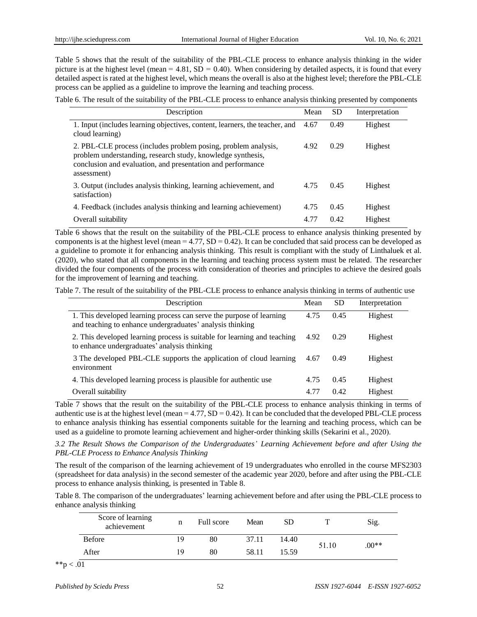Table 5 shows that the result of the suitability of the PBL-CLE process to enhance analysis thinking in the wider picture is at the highest level (mean =  $4.81$ , SD = 0.40). When considering by detailed aspects, it is found that every detailed aspect is rated at the highest level, which means the overall is also at the highest level; therefore the PBL-CLE process can be applied as a guideline to improve the learning and teaching process.

Table 6. The result of the suitability of the PBL-CLE process to enhance analysis thinking presented by components

| Description                                                                                                                                                                                                 | Mean | <b>SD</b> | Interpretation |
|-------------------------------------------------------------------------------------------------------------------------------------------------------------------------------------------------------------|------|-----------|----------------|
| 1. Input (includes learning objectives, content, learners, the teacher, and<br>cloud learning)                                                                                                              | 4.67 | 0.49      | Highest        |
| 2. PBL-CLE process (includes problem posing, problem analysis,<br>problem understanding, research study, knowledge synthesis,<br>conclusion and evaluation, and presentation and performance<br>assessment) | 4.92 | 0.29      | Highest        |
| 3. Output (includes analysis thinking, learning achievement, and<br>satisfaction)                                                                                                                           | 4.75 | 0.45      | Highest        |
| 4. Feedback (includes analysis thinking and learning achievement)                                                                                                                                           | 4.75 | 0.45      | Highest        |
| Overall suitability                                                                                                                                                                                         | 4.77 | 0.42      | Highest        |

Table 6 shows that the result on the suitability of the PBL-CLE process to enhance analysis thinking presented by components is at the highest level (mean =  $4.77$ , SD =  $0.42$ ). It can be concluded that said process can be developed as a guideline to promote it for enhancing analysis thinking. This result is compliant with the study of Linthaluek et al. (2020), who stated that all components in the learning and teaching process system must be related. The researcher divided the four components of the process with consideration of theories and principles to achieve the desired goals for the improvement of learning and teaching.

Table 7. The result of the suitability of the PBL-CLE process to enhance analysis thinking in terms of authentic use

| Description                                                                                                                       | Mean | <b>SD</b> | Interpretation |
|-----------------------------------------------------------------------------------------------------------------------------------|------|-----------|----------------|
| 1. This developed learning process can serve the purpose of learning<br>and teaching to enhance undergraduates' analysis thinking | 4.75 | 0.45      | Highest        |
| 2. This developed learning process is suitable for learning and teaching<br>to enhance undergraduates' analysis thinking          | 4.92 | 0.29      | Highest        |
| 3 The developed PBL-CLE supports the application of cloud learning<br>environment                                                 | 4.67 | 0.49      | Highest        |
| 4. This developed learning process is plausible for authentic use                                                                 | 4.75 | 0.45      | Highest        |
| Overall suitability                                                                                                               | 4.77 | 0.42      | Highest        |

Table 7 shows that the result on the suitability of the PBL-CLE process to enhance analysis thinking in terms of authentic use is at the highest level (mean  $= 4.77$ ,  $SD = 0.42$ ). It can be concluded that the developed PBL-CLE process to enhance analysis thinking has essential components suitable for the learning and teaching process, which can be used as a guideline to promote learning achievement and higher-order thinking skills (Sekarini et al., 2020).

*3.2 The Result Shows the Comparison of the Undergraduates' Learning Achievement before and after Using the PBL-CLE Process to Enhance Analysis Thinking* 

The result of the comparison of the learning achievement of 19 undergraduates who enrolled in the course MFS2303 (spreadsheet for data analysis) in the second semester of the academic year 2020, before and after using the PBL-CLE process to enhance analysis thinking, is presented in Table 8.

Table 8. The comparison of the undergraduates' learning achievement before and after using the PBL-CLE process to enhance analysis thinking

| Score of learning<br>achievement |    | Full score | Mean  | SD    |       | Sig.    |
|----------------------------------|----|------------|-------|-------|-------|---------|
| <b>Before</b>                    | 19 | 80         | 37.11 | 14.40 |       | $.00**$ |
| After                            | 19 | 80         | 58.11 | 15.59 | 51.10 |         |

\*\*p  $< .01$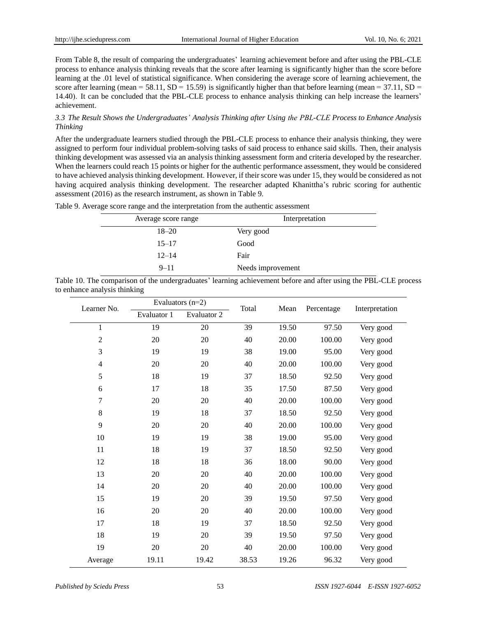From Table 8, the result of comparing the undergraduates' learning achievement before and after using the PBL-CLE process to enhance analysis thinking reveals that the score after learning is significantly higher than the score before learning at the .01 level of statistical significance. When considering the average score of learning achievement, the score after learning (mean = 58.11,  $SD = 15.59$ ) is significantly higher than that before learning (mean = 37.11,  $SD =$ 14.40). It can be concluded that the PBL-CLE process to enhance analysis thinking can help increase the learners' achievement.

*3.3 The Result Shows the Undergraduates' Analysis Thinking after Using the PBL-CLE Process to Enhance Analysis Thinking* 

After the undergraduate learners studied through the PBL-CLE process to enhance their analysis thinking, they were assigned to perform four individual problem-solving tasks of said process to enhance said skills. Then, their analysis thinking development was assessed via an analysis thinking assessment form and criteria developed by the researcher. When the learners could reach 15 points or higher for the authentic performance assessment, they would be considered to have achieved analysis thinking development. However, if their score was under 15, they would be considered as not having acquired analysis thinking development. The researcher adapted Khanittha's rubric scoring for authentic assessment (2016) as the research instrument, as shown in Table 9.

| Average score range | Interpretation    |
|---------------------|-------------------|
| $18 - 20$           | Very good         |
| $15 - 17$           | Good              |
| $12 - 14$           | Fair              |
| $9 - 11$            | Needs improvement |

Table 9. Average score range and the interpretation from the authentic assessment

|                              | Table 10. The comparison of the undergraduates' learning achievement before and after using the PBL-CLE process |  |  |
|------------------------------|-----------------------------------------------------------------------------------------------------------------|--|--|
| to enhance analysis thinking |                                                                                                                 |  |  |

| Learner No.    | Evaluators $(n=2)$ |             | Total  | Mean  | Percentage |                |
|----------------|--------------------|-------------|--------|-------|------------|----------------|
|                | Evaluator 1        | Evaluator 2 |        |       |            | Interpretation |
| $\mathbf{1}$   | 19                 | 20          | 39     | 19.50 | 97.50      | Very good      |
| $\overline{2}$ | 20                 | 20          | 40     | 20.00 | 100.00     | Very good      |
| 3              | 19                 | 19          | 38     | 19.00 | 95.00      | Very good      |
| $\overline{4}$ | 20                 | 20          | 40     | 20.00 | 100.00     | Very good      |
| 5              | 18                 | 19          | 37     | 18.50 | 92.50      | Very good      |
| 6              | 17                 | 18          | 35     | 17.50 | 87.50      | Very good      |
| $\overline{7}$ | 20                 | 20          | 40     | 20.00 | 100.00     | Very good      |
| 8              | 19                 | 18          | 37     | 18.50 | 92.50      | Very good      |
| 9              | 20                 | 20          | 40     | 20.00 | 100.00     | Very good      |
| 10             | 19                 | 19          | 38     | 19.00 | 95.00      | Very good      |
| 11             | 18                 | 19          | 37     | 18.50 | 92.50      | Very good      |
| 12             | 18                 | 18          | 36     | 18.00 | 90.00      | Very good      |
| 13             | 20                 | 20          | 40     | 20.00 | 100.00     | Very good      |
| 14             | 20                 | 20          | 40     | 20.00 | 100.00     | Very good      |
| 15             | 19                 | 20          | 39     | 19.50 | 97.50      | Very good      |
| 16             | 20                 | 20          | 40     | 20.00 | 100.00     | Very good      |
| 17             | 18                 | 19          | 37     | 18.50 | 92.50      | Very good      |
| 18             | 19                 | 20          | 39     | 19.50 | 97.50      | Very good      |
| 19             | 20                 | 20          | $40\,$ | 20.00 | 100.00     | Very good      |
| Average        | 19.11              | 19.42       | 38.53  | 19.26 | 96.32      | Very good      |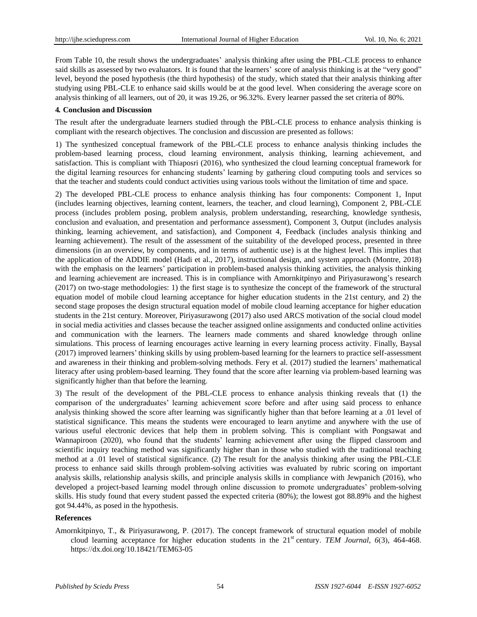From Table 10, the result shows the undergraduates' analysis thinking after using the PBL-CLE process to enhance said skills as assessed by two evaluators. It is found that the learners' score of analysis thinking is at the "very good" level, beyond the posed hypothesis (the third hypothesis) of the study, which stated that their analysis thinking after studying using PBL-CLE to enhance said skills would be at the good level. When considering the average score on analysis thinking of all learners, out of 20, it was 19.26, or 96.32%. Every learner passed the set criteria of 80%.

#### **4***.* **Conclusion and Discussion**

The result after the undergraduate learners studied through the PBL-CLE process to enhance analysis thinking is compliant with the research objectives. The conclusion and discussion are presented as follows:

1) The synthesized conceptual framework of the PBL-CLE process to enhance analysis thinking includes the problem-based learning process, cloud learning environment, analysis thinking, learning achievement, and satisfaction. This is compliant with Thiaposri (2016), who synthesized the cloud learning conceptual framework for the digital learning resources for enhancing students' learning by gathering cloud computing tools and services so that the teacher and students could conduct activities using various tools without the limitation of time and space.

2) The developed PBL-CLE process to enhance analysis thinking has four components: Component 1, Input (includes learning objectives, learning content, learners, the teacher, and cloud learning), Component 2, PBL-CLE process (includes problem posing, problem analysis, problem understanding, researching, knowledge synthesis, conclusion and evaluation, and presentation and performance assessment), Component 3, Output (includes analysis thinking, learning achievement, and satisfaction), and Component 4, Feedback (includes analysis thinking and learning achievement). The result of the assessment of the suitability of the developed process, presented in three dimensions (in an overview, by components, and in terms of authentic use) is at the highest level. This implies that the application of the ADDIE model (Hadi et al., 2017), instructional design, and system approach (Montre, 2018) with the emphasis on the learners' participation in problem-based analysis thinking activities, the analysis thinking and learning achievement are increased. This is in compliance with Amornkitpinyo and Piriyasurawong's research (2017) on two-stage methodologies: 1) the first stage is to synthesize the concept of the framework of the structural equation model of mobile cloud learning acceptance for higher education students in the 21st century, and 2) the second stage proposes the design structural equation model of mobile cloud learning acceptance for higher education students in the 21st century. Moreover, Piriyasurawong (2017) also used ARCS motivation of the social cloud model in social media activities and classes because the teacher assigned online assignments and conducted online activities and communication with the learners. The learners made comments and shared knowledge through online simulations. This process of learning encourages active learning in every learning process activity. Finally, Baysal (2017) improved learners' thinking skills by using problem-based learning for the learners to practice self-assessment and awareness in their thinking and problem-solving methods. Fery et al. (2017) studied the learners' mathematical literacy after using problem-based learning. They found that the score after learning via problem-based learning was significantly higher than that before the learning.

3) The result of the development of the PBL-CLE process to enhance analysis thinking reveals that (1) the comparison of the undergraduates' learning achievement score before and after using said process to enhance analysis thinking showed the score after learning was significantly higher than that before learning at a .01 level of statistical significance. This means the students were encouraged to learn anytime and anywhere with the use of various useful electronic devices that help them in problem solving. This is compliant with Pongsawat and Wannapiroon (2020), who found that the students' learning achievement after using the flipped classroom and scientific inquiry teaching method was significantly higher than in those who studied with the traditional teaching method at a .01 level of statistical significance. (2) The result for the analysis thinking after using the PBL-CLE process to enhance said skills through problem-solving activities was evaluated by rubric scoring on important analysis skills, relationship analysis skills, and principle analysis skills in compliance with Jewpanich (2016), who developed a project-based learning model through online discussion to promote undergraduates' problem-solving skills. His study found that every student passed the expected criteria (80%); the lowest got 88.89% and the highest got 94.44%, as posed in the hypothesis.

## **References**

Amornkitpinyo, T., & Piriyasurawong, P. (2017). The concept framework of structural equation model of mobile cloud learning acceptance for higher education students in the 21<sup>st</sup> century. *TEM Journal*, 6(3), 464-468. <https://dx.doi.org/10.18421/TEM63-05>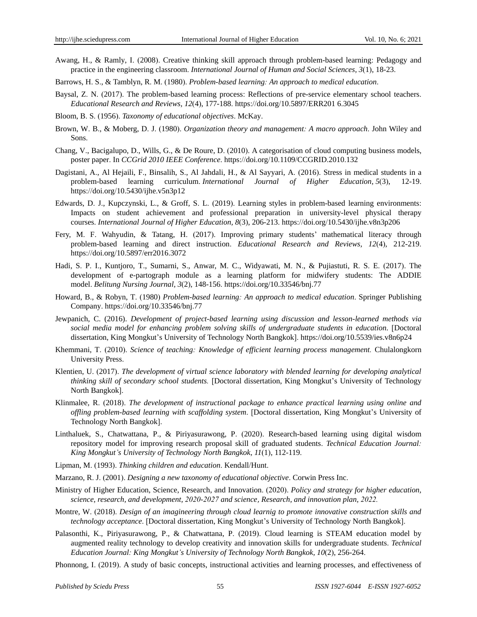- Awang, H., & Ramly, I. (2008). Creative thinking skill approach through problem-based learning: Pedagogy and practice in the engineering classroom. *International Journal of Human and Social Sciences, 3*(1), 18-23.
- Barrows, H. S., & Tamblyn, R. M. (1980). *Problem-based learning: An approach to medical education*.
- Baysal, Z. N. (2017). The problem-based learning process: Reflections of pre-service elementary school teachers. *Educational Research and Reviews, 12*(4), 177-188. [https://doi.org/10.5897/ERR201 6.3045](https://doi.org/10.5897/ERR201%206.3045)
- Bloom, B. S. (1956). *Taxonomy of educational objectives*. McKay.
- Brown, W. B., & Moberg, D. J. (1980). *Organization theory and management: A macro approach*. John Wiley and Sons.
- Chang, V., Bacigalupo, D., Wills, G., & De Roure, D. (2010). A categorisation of cloud computing business models, poster paper. In *CCGrid 2010 IEEE Conference*. <https://doi.org/10.1109/CCGRID.2010.132>
- Dagistani, A., Al Hejaili, F., Binsalih, S., Al Jahdali, H., & Al Sayyari, A. (2016). Stress in medical students in a problem-based learning curriculum. *International Journal of Higher Education, 5*(3), 12-19. <https://doi.org/10.5430/ijhe.v5n3p12>
- Edwards, D. J., Kupczynski, L., & Groff, S. L. (2019). Learning styles in problem-based learning environments: Impacts on student achievement and professional preparation in university-level physical therapy courses. *International Journal of Higher Education, 8*(3), 206-213. <https://doi.org/10.5430/ijhe.v8n3p206>
- Fery, M. F. Wahyudin, & Tatang, H. (2017). Improving primary students' mathematical literacy through problem-based learning and direct instruction. *Educational Research and Reviews, 12*(4), 212-219. <https://doi.org/10.5897/err2016.3072>
- Hadi, S. P. I., Kuntjoro, T., Sumarni, S., Anwar, M. C., Widyawati, M. N., & Pujiastuti, R. S. E. (2017). The development of e-partograph module as a learning platform for midwifery students: The ADDIE model. *Belitung Nursing Journal, 3*(2), 148-156. https://doi.org/10.33546/bnj.77
- Howard, B., & Robyn, T. (1980) *Problem-based learning: An approach to medical education*. Springer Publishing Company.<https://doi.org/10.33546/bnj.77>
- Jewpanich, C. (2016). *Development of project-based learning using discussion and lesson-learned methods via social media model for enhancing problem solving skills of undergraduate students in education*. [Doctoral dissertation, King Mongkut's University of Technology North Bangkok]. https://doi.org/10.5539/ies.v8n6p24
- Khemmani, T. (2010). *Science of teaching: Knowledge of efficient learning process management.* Chulalongkorn University Press.
- Klentien, U. (2017). *The development of virtual science laboratory with blended learning for developing analytical thinking skill of secondary school students.* [Doctoral dissertation, King Mongkut's University of Technology North Bangkok].
- Klinmalee, R. (2018). *The development of instructional package to enhance practical learning using online and offling problem-based learning with scaffolding system*. [Doctoral dissertation, King Mongkut's University of Technology North Bangkok].
- Linthaluek, S., Chatwattana, P., & Piriyasurawong, P. (2020). Research-based learning using digital wisdom repository model for improving research proposal skill of graduated students. *Technical Education Journal: King Mongkut's University of Technology North Bangkok, 11*(1), 112-119.
- Lipman, M. (1993). *Thinking children and education*. Kendall/Hunt.
- Marzano, R. J. (2001). *Designing a new taxonomy of educational objective*. Corwin Press Inc.
- Ministry of Higher Education, Science, Research, and Innovation. (2020). *Policy and strategy for higher education, science, research, and development, 2020*-*2027 and science*, *Research, and innovation plan, 2022.*
- Montre, W. (2018). *Design of an imagineering through cloud learnig to promote innovative construction skills and technology acceptance*. [Doctoral dissertation, King Mongkut's University of Technology North Bangkok].
- Palasonthi, K., Piriyasurawong, P., & Chatwattana, P. (2019). Cloud learning is STEAM education model by augmented reality technology to develop creativity and innovation skills for undergraduate students. *Technical Education Journal: King Mongkut's University of Technology North Bangkok, 10*(2), 256-264.
- Phonnong, I. (2019). A study of basic concepts, instructional activities and learning processes, and effectiveness of